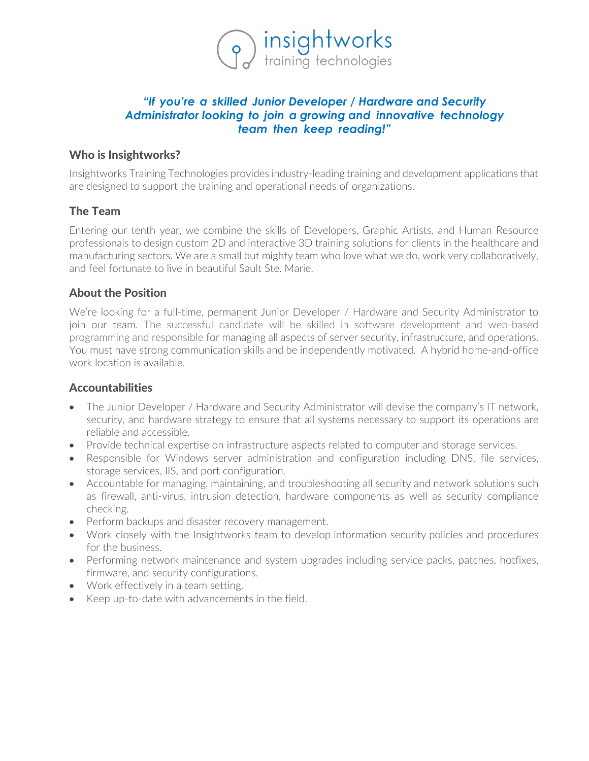

# *"If you're a skilled Junior Developer / Hardware and Security Administrator looking to join a growing and innovative technology team then keep reading!"*

# Who is Insightworks?

Insightworks Training Technologies provides industry-leading training and development applications that are designed to support the training and operational needs of organizations.

# The Team

Entering our tenth year, we combine the skills of Developers, Graphic Artists, and Human Resource professionals to design custom 2D and interactive 3D training solutions for clients in the healthcare and manufacturing sectors. We are a small but mighty team who love what we do, work very collaboratively, and feel fortunate to live in beautiful Sault Ste. Marie.

# About the Position

We're looking for a full-time, permanent Junior Developer / Hardware and Security Administrator to join our team. The successful candidate will be skilled in software development and web-based programming and responsible for managing all aspects of server security, infrastructure, and operations. You must have strong communication skills and be independently motivated. A hybrid home-and-office work location is available.

### Accountabilities

- The Junior Developer / Hardware and Security Administrator will devise the company's IT network, security, and hardware strategy to ensure that all systems necessary to support its operations are reliable and accessible.
- Provide technical expertise on infrastructure aspects related to computer and storage services.
- Responsible for Windows server administration and configuration including DNS, file services, storage services, IIS, and port configuration.
- Accountable for managing, maintaining, and troubleshooting all security and network solutions such as firewall, anti-virus, intrusion detection, hardware components as well as security compliance checking.
- Perform backups and disaster recovery management.
- Work closely with the Insightworks team to develop information security policies and procedures for the business.
- Performing network maintenance and system upgrades including service packs, patches, hotfixes, firmware, and security configurations.
- Work effectively in a team setting.
- Keep up-to-date with advancements in the field.